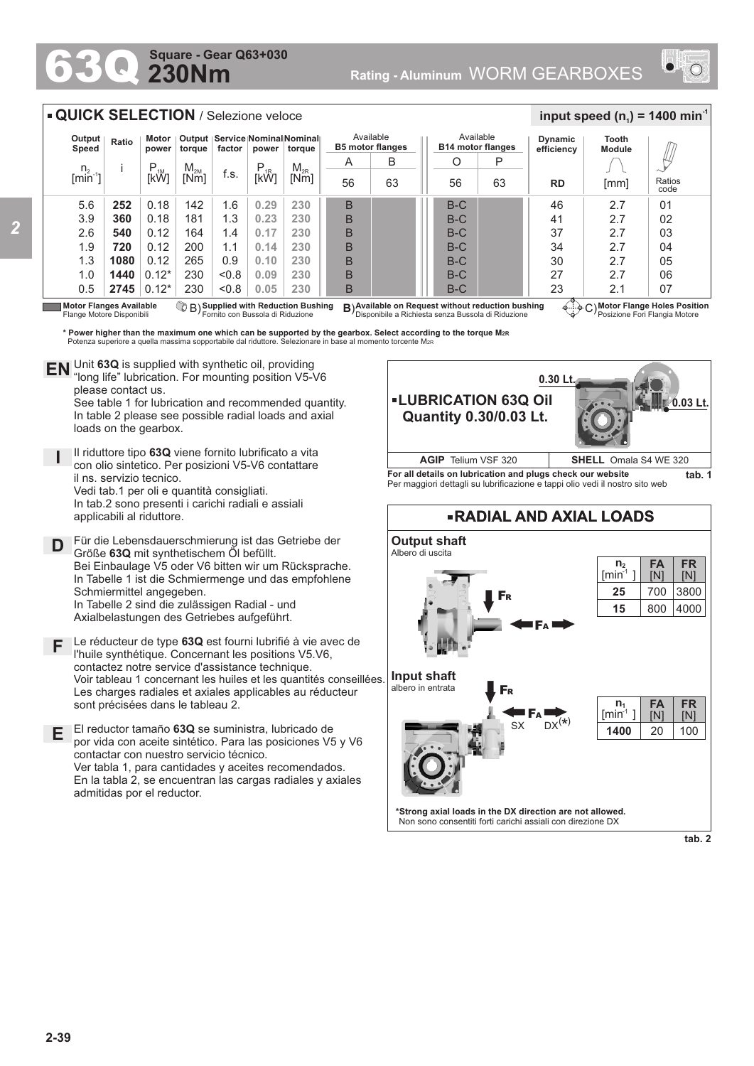## **230Nm Square - Gear Q63+030**

*2*



## **Motor Flange Holes Position** Posizione Fori Flangia Motore **Motor Flanges Available ③ B) Supplied with Reduction Bushing B)Available on Request without reduction bushing ④……<br>Flange Motore Disponibili Fornito con Bussola di Riduzione Disponibile a Richiesta senza Bu** Flange Motore Disponibili **Supplied with Reduction Bushing** Fornito con Bussola di Riduzione B) **B**) 5.6 3.9 2.6 1.9 1.3 1.0 0.5 **252 360 540 720 1080 1440 2745** n.  $[min^{-1}]$ i P<br>[kW]  $\begin{array}{c|c|c|c} \mathsf{M}_{\mathsf{2M}} & \mathsf{f.s.} & \mathsf{P}_{\mathsf{1R}} & \mathsf{M}_{\mathsf{2R}} \ \hline \mathsf{[Nm]} & \mathsf{[KW]} & \mathsf{[KW]} \end{array}$ **Output Speed Ratio Motor power Output torque Service Nominal Nominal factor power torque QUICK SELECTION** / Selezione veloce Available **B5 motor flanges RD Dynamic efficiency** 46 41 37 34 30 27 23 2.7 2.7 2.7 2.7 2.7 2.7 2.1 Ratios code 01 02 03 04 05  $\cap$ 07 **Tooth Module**  $\frac{1}{2}$  **input speed (n**<sub>1</sub>) = 1400 min<sup>-1</sup> Available **B14 motor flanges** P 63 O 56 B B B B B B B B 63 A 56 B-C B-C B-C  $B-C$  $B-C$  $B-C$  $B-C$  $P_{1R}$  M<sub>2R</sub><br>[kW] [Nm] 0.18 0.18 0.12 0.12 0.12  $0.12*$ 0.12\* 142 181 164 200 265 230 230 1.6 1.3 1.4 1.1  $0.9$  $< 0.8$  $< 0.8$ [mm] **0.29 0.23 0.17 0.14 0.10 0.09 0.05 230 230 230 230 230 230 230**

**\* Power higher than the maximum one which can be supported by the gearbox. Select according to the torque M2R** Potenza superiore a quella massima sopportabile dal riduttore. Selezionare in base al momento torcente M<sub>2</sub>

Unit **63Q** is supplied with synthetic oil, providing **EN** Unit 63Q is supplied with synthetic oil, providing<br>"long life" lubrication. For mounting position V5-V6 please contact us. See table 1 for lubrication and recommended quantity.

In table 2 please see possible radial loads and axial loads on the gearbox.

- **I** Il riduttore tipo **63Q** viene fornito lubrificato a vita con olio sintetico. Per posizioni V5-V6 contattare il ns. servizio tecnico. Vedi tab.1 per oli e quantità consigliati. In tab.2 sono presenti i carichi radiali e assiali applicabili al riduttore.
- **D** Für die Lebensdauerschmierung ist das Getriebe der Größe **63Q** mit synthetischem Öl befüllt. Bei Einbaulage V5 oder V6 bitten wir um Rücksprache. In Tabelle 1 ist die Schmiermenge und das empfohlene Schmiermittel angegeben. In Tabelle 2 sind die zulässigen Radial - und Axialbelastungen des Getriebes aufgeführt.
- **F** Le réducteur de type **63Q** est fourni lubrifié à vie avec de l'huile synthétique. Concernant les positions V5.V6, contactez notre service d'assistance technique. Voir tableau 1 concernant les huiles et les quantités conseillées. Les charges radiales et axiales applicables au réducteur sont précisées dans le tableau 2.
- **E** El reductor tamaño **63Q** se suministra, lubricado de por vida con aceite sintético. Para las posiciones V5 y V6 contactar con nuestro servicio técnico. Ver tabla 1, para cantidades y aceites recomendados. En la tabla 2, se encuentran las cargas radiales y axiales admitidas por el reductor.



**For all details on lubrication and plugs check our website tab. 1** Per maggiori dettagli su lubrificazione e tappi olio vedi il nostro sito web